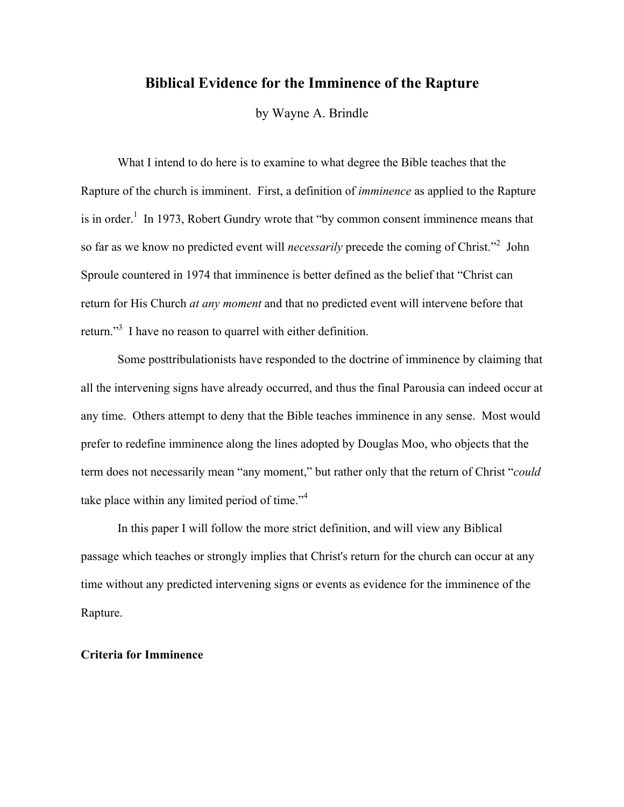# **Biblical Evidence for the Imminence of the Rapture**

by Wayne A. Brindle

What I intend to do here is to examine to what degree the Bible teaches that the Rapture of the church is imminent. First, a definition of *imminence* as applied to the Rapture is in order.<sup>1</sup> In 1973, Robert Gundry wrote that "by common consent imminence means that so far as we know no predicted event will *necessarily* precede the coming of Christ."<sup>2</sup> John Sproule countered in 1974 that imminence is better defined as the belief that "Christ can return for His Church *at any moment* and that no predicted event will intervene before that return."<sup>3</sup> I have no reason to quarrel with either definition.

Some posttribulationists have responded to the doctrine of imminence by claiming that all the intervening signs have already occurred, and thus the final Parousia can indeed occur at any time. Others attempt to deny that the Bible teaches imminence in any sense. Most would prefer to redefine imminence along the lines adopted by Douglas Moo, who objects that the term does not necessarily mean "any moment," but rather only that the return of Christ "*could* take place within any limited period of time."<sup>4</sup>

In this paper I will follow the more strict definition, and will view any Biblical passage which teaches or strongly implies that Christ's return for the church can occur at any time without any predicted intervening signs or events as evidence for the imminence of the Rapture.

### **Criteria for Imminence**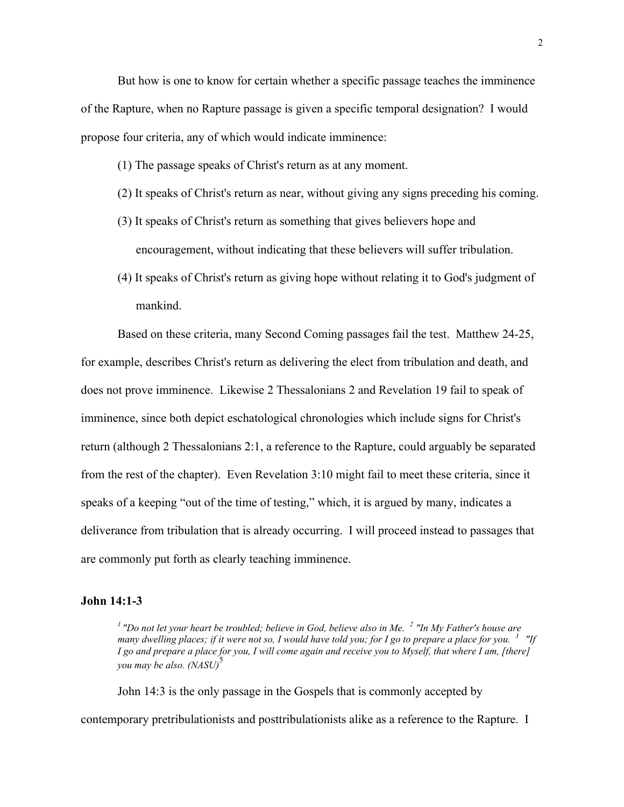But how is one to know for certain whether a specific passage teaches the imminence of the Rapture, when no Rapture passage is given a specific temporal designation? I would propose four criteria, any of which would indicate imminence:

(1) The passage speaks of Christ's return as at any moment.

- (2) It speaks of Christ's return as near, without giving any signs preceding his coming.
- (3) It speaks of Christ's return as something that gives believers hope and encouragement, without indicating that these believers will suffer tribulation.
- (4) It speaks of Christ's return as giving hope without relating it to God's judgment of mankind.

Based on these criteria, many Second Coming passages fail the test. Matthew 24-25, for example, describes Christ's return as delivering the elect from tribulation and death, and does not prove imminence. Likewise 2 Thessalonians 2 and Revelation 19 fail to speak of imminence, since both depict eschatological chronologies which include signs for Christ's return (although 2 Thessalonians 2:1, a reference to the Rapture, could arguably be separated from the rest of the chapter). Even Revelation 3:10 might fail to meet these criteria, since it speaks of a keeping "out of the time of testing," which, it is argued by many, indicates a deliverance from tribulation that is already occurring. I will proceed instead to passages that are commonly put forth as clearly teaching imminence.

## **John 14:1-3**

<sup>1</sup> "Do not let your heart be troubled; believe in God, believe also in Me. <sup>2</sup> "In My Father's house are *many dwelling places; if it were not so, I would have told you; for I go to prepare a place for you. 3 "If I go and prepare a place for you, I will come again and receive you to Myself, that where I am, [there] you may be also.* (NASU)<sup>5</sup>

John 14:3 is the only passage in the Gospels that is commonly accepted by contemporary pretribulationists and posttribulationists alike as a reference to the Rapture. I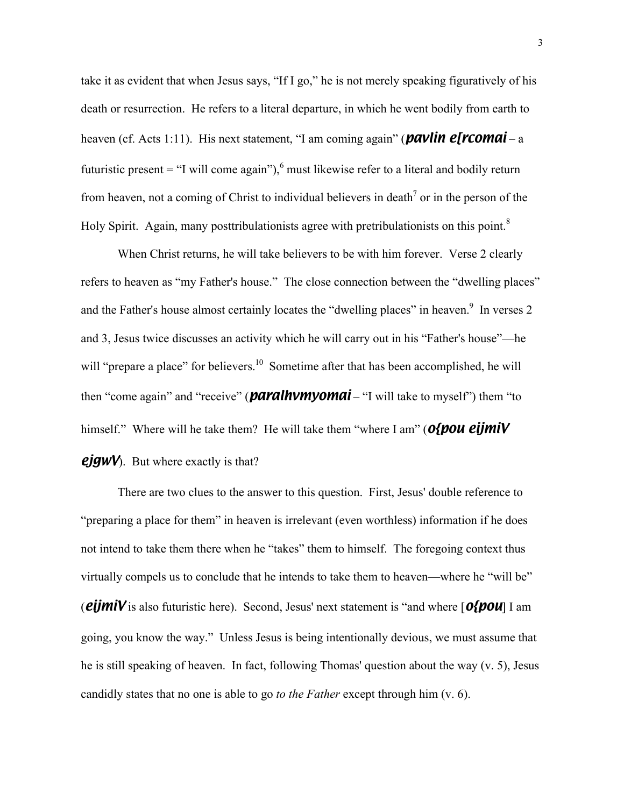take it as evident that when Jesus says, "If I go," he is not merely speaking figuratively of his death or resurrection. He refers to a literal departure, in which he went bodily from earth to heaven (cf. Acts 1:11). His next statement, "I am coming again" (*pavlin e[rcomai* – a futuristic present = "I will come again"),  $6$  must likewise refer to a literal and bodily return from heaven, not a coming of Christ to individual believers in death<sup>7</sup> or in the person of the Holy Spirit. Again, many posttribulationists agree with pretribulationists on this point.<sup>8</sup>

When Christ returns, he will take believers to be with him forever. Verse 2 clearly refers to heaven as "my Father's house." The close connection between the "dwelling places" and the Father's house almost certainly locates the "dwelling places" in heaven. $9\,$  In verses 2 and 3, Jesus twice discusses an activity which he will carry out in his "Father's house"—he will "prepare a place" for believers.<sup>10</sup> Sometime after that has been accomplished, he will then "come again" and "receive" (*paralhvmyomai* – "I will take to myself") them "to himself." Where will he take them? He will take them "where I am" (*o{pou eijmiV ejgwV*). But where exactly is that?

There are two clues to the answer to this question. First, Jesus' double reference to "preparing a place for them" in heaven is irrelevant (even worthless) information if he does not intend to take them there when he "takes" them to himself. The foregoing context thus virtually compels us to conclude that he intends to take them to heaven—where he "will be" (*eijmiV* is also futuristic here). Second, Jesus' next statement is "and where [*o{pou*] I am going, you know the way." Unless Jesus is being intentionally devious, we must assume that he is still speaking of heaven. In fact, following Thomas' question about the way (v. 5), Jesus candidly states that no one is able to go *to the Father* except through him (v. 6).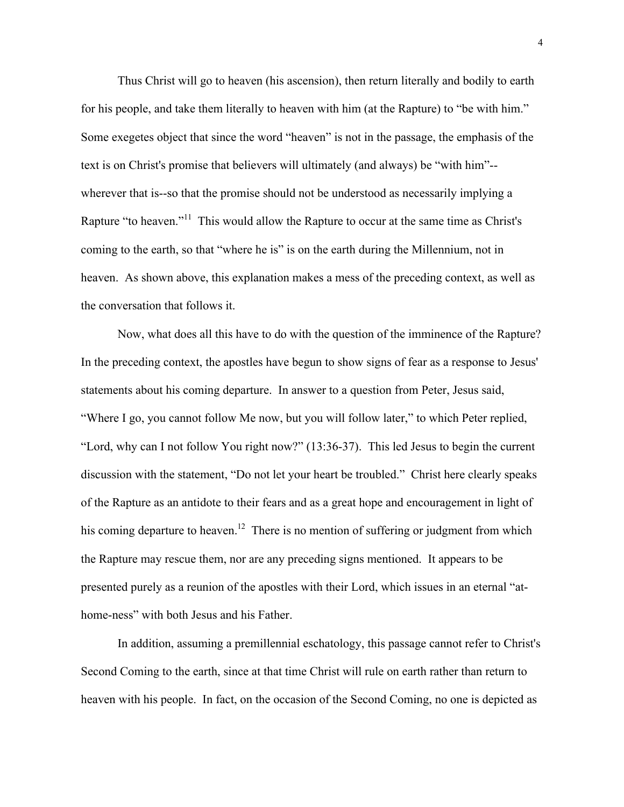Thus Christ will go to heaven (his ascension), then return literally and bodily to earth for his people, and take them literally to heaven with him (at the Rapture) to "be with him." Some exegetes object that since the word "heaven" is not in the passage, the emphasis of the text is on Christ's promise that believers will ultimately (and always) be "with him"- wherever that is--so that the promise should not be understood as necessarily implying a Rapture "to heaven."<sup>11</sup> This would allow the Rapture to occur at the same time as Christ's coming to the earth, so that "where he is" is on the earth during the Millennium, not in heaven. As shown above, this explanation makes a mess of the preceding context, as well as the conversation that follows it.

Now, what does all this have to do with the question of the imminence of the Rapture? In the preceding context, the apostles have begun to show signs of fear as a response to Jesus' statements about his coming departure. In answer to a question from Peter, Jesus said, "Where I go, you cannot follow Me now, but you will follow later," to which Peter replied, "Lord, why can I not follow You right now?" (13:36-37). This led Jesus to begin the current discussion with the statement, "Do not let your heart be troubled." Christ here clearly speaks of the Rapture as an antidote to their fears and as a great hope and encouragement in light of his coming departure to heaven.<sup>12</sup> There is no mention of suffering or judgment from which the Rapture may rescue them, nor are any preceding signs mentioned. It appears to be presented purely as a reunion of the apostles with their Lord, which issues in an eternal "athome-ness" with both Jesus and his Father.

In addition, assuming a premillennial eschatology, this passage cannot refer to Christ's Second Coming to the earth, since at that time Christ will rule on earth rather than return to heaven with his people. In fact, on the occasion of the Second Coming, no one is depicted as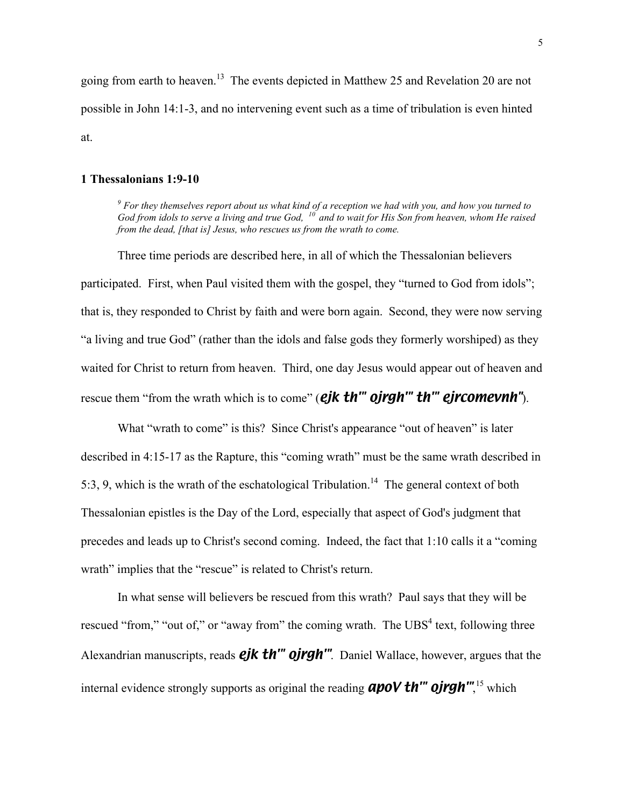going from earth to heaven.<sup>13</sup> The events depicted in Matthew 25 and Revelation 20 are not possible in John 14:1-3, and no intervening event such as a time of tribulation is even hinted at.

## **1 Thessalonians 1:9-10**

<sup>9</sup> For they themselves report about us what kind of a reception we had with you, and how you turned to *God from idols to serve a living and true God, 10 and to wait for His Son from heaven, whom He raised from the dead, [that is] Jesus, who rescues us from the wrath to come.*

Three time periods are described here, in all of which the Thessalonian believers participated. First, when Paul visited them with the gospel, they "turned to God from idols"; that is, they responded to Christ by faith and were born again. Second, they were now serving "a living and true God" (rather than the idols and false gods they formerly worshiped) as they waited for Christ to return from heaven. Third, one day Jesus would appear out of heaven and rescue them "from the wrath which is to come" (*ejk th'" ojrgh'" th'" ejrcomevnh"*).

What "wrath to come" is this? Since Christ's appearance "out of heaven" is later described in 4:15-17 as the Rapture, this "coming wrath" must be the same wrath described in 5:3, 9, which is the wrath of the eschatological Tribulation.<sup>14</sup> The general context of both Thessalonian epistles is the Day of the Lord, especially that aspect of God's judgment that precedes and leads up to Christ's second coming. Indeed, the fact that 1:10 calls it a "coming wrath" implies that the "rescue" is related to Christ's return.

In what sense will believers be rescued from this wrath? Paul says that they will be rescued "from," "out of," or "away from" the coming wrath. The  $UBS<sup>4</sup>$  text, following three Alexandrian manuscripts, reads *ejk th'" ojrgh'"*. Daniel Wallace, however, argues that the internal evidence strongly supports as original the reading **apoV th''' ojrgh'''**,<sup>15</sup> which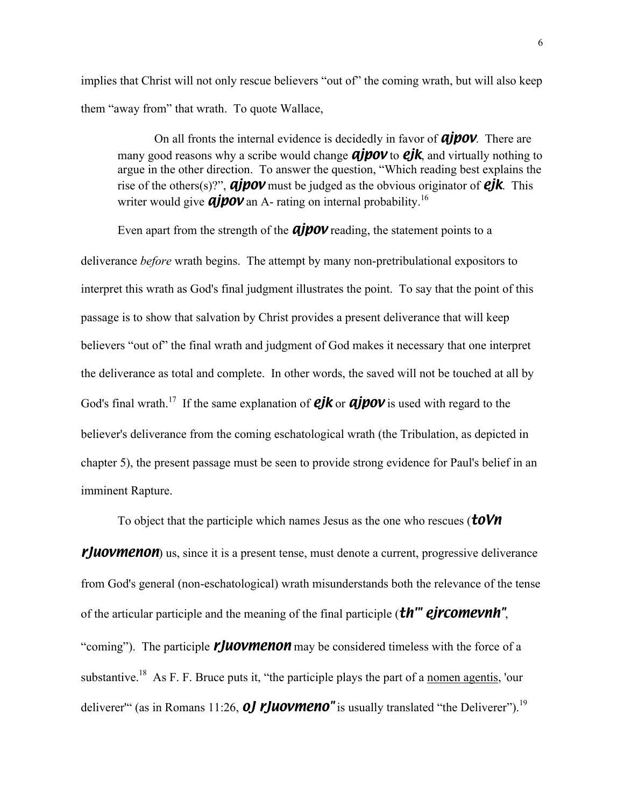implies that Christ will not only rescue believers "out of" the coming wrath, but will also keep them "away from" that wrath. To quote Wallace,

On all fronts the internal evidence is decidedly in favor of *ajpov*. There are many good reasons why a scribe would change *ajpov* to *ejk*, and virtually nothing to argue in the other direction. To answer the question, "Which reading best explains the rise of the others(s)?", *ajpov* must be judged as the obvious originator of *ejk*. This writer would give *ajpov* an A- rating on internal probability.<sup>16</sup>

Even apart from the strength of the *ajpov* reading, the statement points to a

deliverance *before* wrath begins. The attempt by many non-pretribulational expositors to interpret this wrath as God's final judgment illustrates the point. To say that the point of this passage is to show that salvation by Christ provides a present deliverance that will keep believers "out of" the final wrath and judgment of God makes it necessary that one interpret the deliverance as total and complete. In other words, the saved will not be touched at all by God's final wrath.<sup>17</sup> If the same explanation of **ejk** or **ajpov** is used with regard to the believer's deliverance from the coming eschatological wrath (the Tribulation, as depicted in chapter 5), the present passage must be seen to provide strong evidence for Paul's belief in an imminent Rapture.

To object that the participle which names Jesus as the one who rescues (*toVn*

*rJuovmenon*) us, since it is a present tense, must denote a current, progressive deliverance from God's general (non-eschatological) wrath misunderstands both the relevance of the tense of the articular participle and the meaning of the final participle (*th'" ejrcomevnh"*, "coming"). The participle *rJuovmenon* may be considered timeless with the force of a substantive.<sup>18</sup> As F. F. Bruce puts it, "the participle plays the part of a nomen agentis, 'our deliverer<sup>tec</sup> (as in Romans 11:26, *oJ rJuovmeno*" is usually translated "the Deliverer").<sup>19</sup>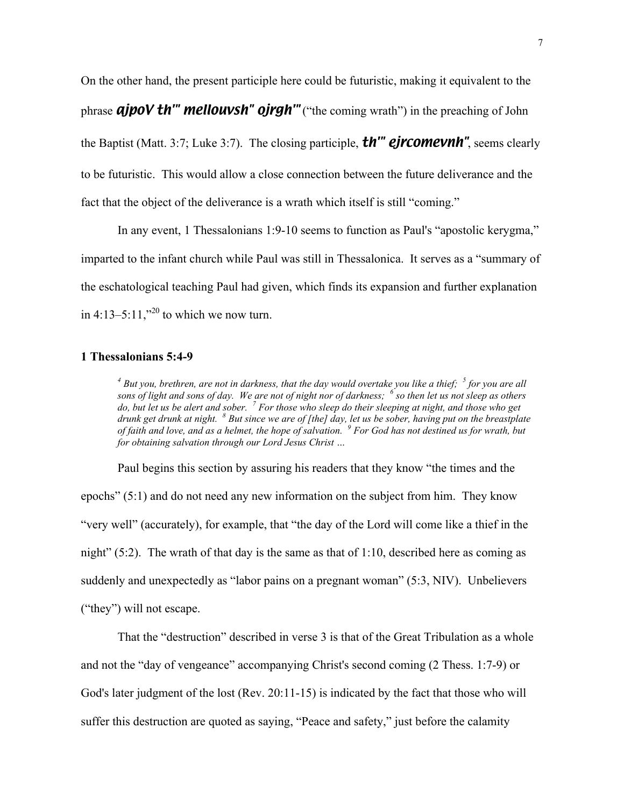On the other hand, the present participle here could be futuristic, making it equivalent to the phrase *ajpoV th'" mellouvsh" ojrgh'"* ("the coming wrath") in the preaching of John the Baptist (Matt. 3:7; Luke 3:7). The closing participle, *th'" ejrcomevnh"*, seems clearly to be futuristic. This would allow a close connection between the future deliverance and the fact that the object of the deliverance is a wrath which itself is still "coming."

In any event, 1 Thessalonians 1:9-10 seems to function as Paul's "apostolic kerygma," imparted to the infant church while Paul was still in Thessalonica. It serves as a "summary of the eschatological teaching Paul had given, which finds its expansion and further explanation in 4:13–5:11,"<sup>20</sup> to which we now turn.

#### **1 Thessalonians 5:4-9**

<sup>4</sup> But you, brethren, are not in darkness, that the day would overtake you like a thief; <sup>5</sup> for you are all *sons of light and sons of day. We are not of night nor of darkness; <sup>6</sup> so then let us not sleep as others do, but let us be alert and sober. <sup>7</sup> For those who sleep do their sleeping at night, and those who get drunk get drunk at night.* <sup>8</sup> But since we are of [the] day, let us be sober, having put on the breastplate *of faith and love, and as a helmet, the hope of salvation. <sup>9</sup> For God has not destined us for wrath, but for obtaining salvation through our Lord Jesus Christ …*

Paul begins this section by assuring his readers that they know "the times and the epochs" (5:1) and do not need any new information on the subject from him. They know "very well" (accurately), for example, that "the day of the Lord will come like a thief in the night"  $(5:2)$ . The wrath of that day is the same as that of 1:10, described here as coming as suddenly and unexpectedly as "labor pains on a pregnant woman" (5:3, NIV). Unbelievers ("they") will not escape.

That the "destruction" described in verse 3 is that of the Great Tribulation as a whole and not the "day of vengeance" accompanying Christ's second coming (2 Thess. 1:7-9) or God's later judgment of the lost (Rev. 20:11-15) is indicated by the fact that those who will suffer this destruction are quoted as saying, "Peace and safety," just before the calamity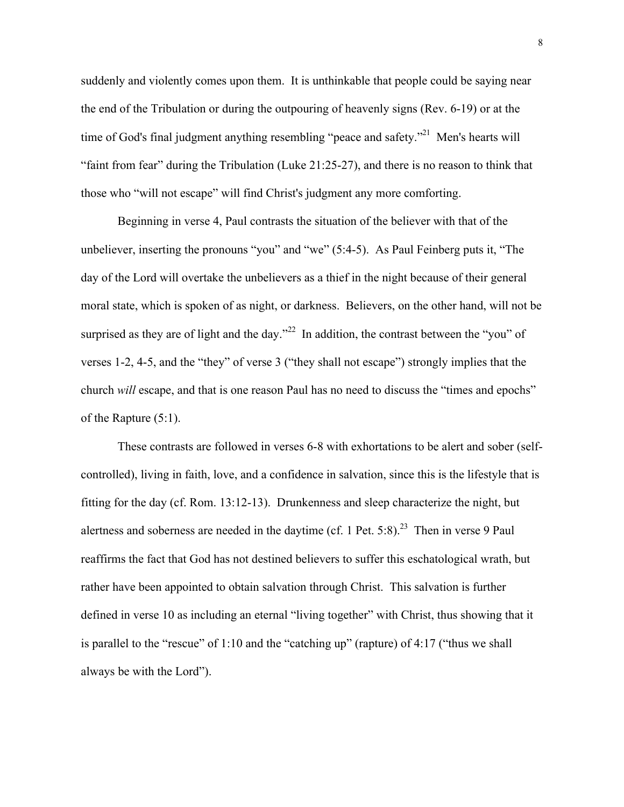suddenly and violently comes upon them. It is unthinkable that people could be saying near the end of the Tribulation or during the outpouring of heavenly signs (Rev. 6-19) or at the time of God's final judgment anything resembling "peace and safety."<sup>21</sup> Men's hearts will "faint from fear" during the Tribulation (Luke 21:25-27), and there is no reason to think that those who "will not escape" will find Christ's judgment any more comforting.

Beginning in verse 4, Paul contrasts the situation of the believer with that of the unbeliever, inserting the pronouns "you" and "we" (5:4-5). As Paul Feinberg puts it, "The day of the Lord will overtake the unbelievers as a thief in the night because of their general moral state, which is spoken of as night, or darkness. Believers, on the other hand, will not be surprised as they are of light and the day."<sup>22</sup> In addition, the contrast between the "you" of verses 1-2, 4-5, and the "they" of verse 3 ("they shall not escape") strongly implies that the church *will* escape, and that is one reason Paul has no need to discuss the "times and epochs" of the Rapture (5:1).

These contrasts are followed in verses 6-8 with exhortations to be alert and sober (selfcontrolled), living in faith, love, and a confidence in salvation, since this is the lifestyle that is fitting for the day (cf. Rom. 13:12-13). Drunkenness and sleep characterize the night, but alertness and soberness are needed in the daytime (cf. 1 Pet. 5:8).<sup>23</sup> Then in verse 9 Paul reaffirms the fact that God has not destined believers to suffer this eschatological wrath, but rather have been appointed to obtain salvation through Christ. This salvation is further defined in verse 10 as including an eternal "living together" with Christ, thus showing that it is parallel to the "rescue" of 1:10 and the "catching up" (rapture) of 4:17 ("thus we shall always be with the Lord").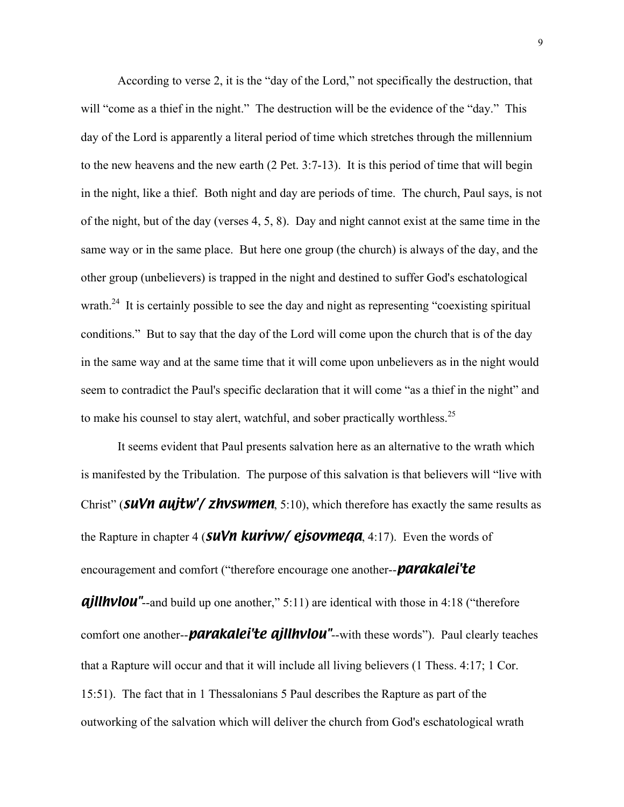According to verse 2, it is the "day of the Lord," not specifically the destruction, that will "come as a thief in the night." The destruction will be the evidence of the "day." This day of the Lord is apparently a literal period of time which stretches through the millennium to the new heavens and the new earth (2 Pet. 3:7-13). It is this period of time that will begin in the night, like a thief. Both night and day are periods of time. The church, Paul says, is not of the night, but of the day (verses 4, 5, 8). Day and night cannot exist at the same time in the same way or in the same place. But here one group (the church) is always of the day, and the other group (unbelievers) is trapped in the night and destined to suffer God's eschatological wrath.<sup>24</sup> It is certainly possible to see the day and night as representing "coexisting spiritual conditions." But to say that the day of the Lord will come upon the church that is of the day in the same way and at the same time that it will come upon unbelievers as in the night would seem to contradict the Paul's specific declaration that it will come "as a thief in the night" and to make his counsel to stay alert, watchful, and sober practically worthless.<sup>25</sup>

It seems evident that Paul presents salvation here as an alternative to the wrath which is manifested by the Tribulation. The purpose of this salvation is that believers will "live with Christ" (*suVn aujtw'/ zhvswmen*, 5:10), which therefore has exactly the same results as the Rapture in chapter 4 (*suVn kurivw/ ejsovmeqa*, 4:17). Even the words of encouragement and comfort ("therefore encourage one another--*parakalei'te*

**ajllhvlou"**--and build up one another," 5:11) are identical with those in 4:18 ("therefore" comfort one another--*parakalei'te ajllhvlou"*--with these words"). Paul clearly teaches that a Rapture will occur and that it will include all living believers (1 Thess. 4:17; 1 Cor. 15:51). The fact that in 1 Thessalonians 5 Paul describes the Rapture as part of the outworking of the salvation which will deliver the church from God's eschatological wrath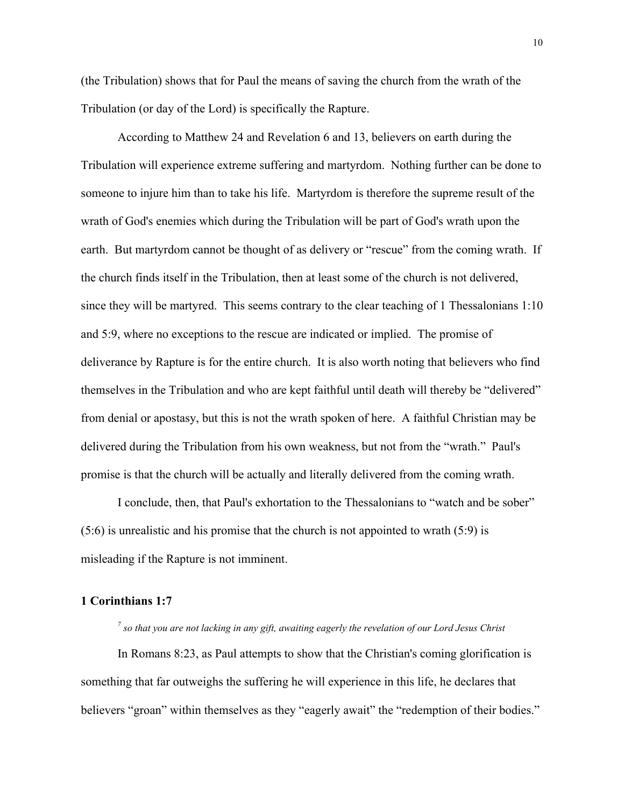(the Tribulation) shows that for Paul the means of saving the church from the wrath of the Tribulation (or day of the Lord) is specifically the Rapture.

According to Matthew 24 and Revelation 6 and 13, believers on earth during the Tribulation will experience extreme suffering and martyrdom. Nothing further can be done to someone to injure him than to take his life. Martyrdom is therefore the supreme result of the wrath of God's enemies which during the Tribulation will be part of God's wrath upon the earth. But martyrdom cannot be thought of as delivery or "rescue" from the coming wrath. If the church finds itself in the Tribulation, then at least some of the church is not delivered, since they will be martyred. This seems contrary to the clear teaching of 1 Thessalonians 1:10 and 5:9, where no exceptions to the rescue are indicated or implied. The promise of deliverance by Rapture is for the entire church. It is also worth noting that believers who find themselves in the Tribulation and who are kept faithful until death will thereby be "delivered" from denial or apostasy, but this is not the wrath spoken of here. A faithful Christian may be delivered during the Tribulation from his own weakness, but not from the "wrath." Paul's promise is that the church will be actually and literally delivered from the coming wrath.

I conclude, then, that Paul's exhortation to the Thessalonians to "watch and be sober" (5:6) is unrealistic and his promise that the church is not appointed to wrath (5:9) is misleading if the Rapture is not imminent.

## **1 Corinthians 1:7**

*7 so that you are not lacking in any gift, awaiting eagerly the revelation of our Lord Jesus Christ*

In Romans 8:23, as Paul attempts to show that the Christian's coming glorification is something that far outweighs the suffering he will experience in this life, he declares that believers "groan" within themselves as they "eagerly await" the "redemption of their bodies."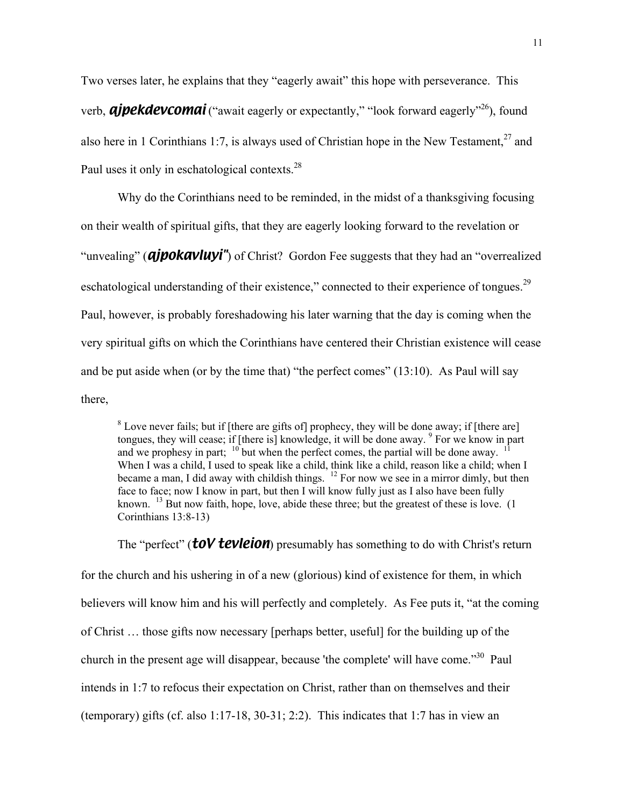Two verses later, he explains that they "eagerly await" this hope with perseverance. This verb, *ajpekdevcomai* ("await eagerly or expectantly," "look forward eagerly"<sup>26</sup>), found also here in 1 Corinthians 1:7, is always used of Christian hope in the New Testament,<sup>27</sup> and Paul uses it only in eschatological contexts.<sup>28</sup>

Why do the Corinthians need to be reminded, in the midst of a thanksgiving focusing on their wealth of spiritual gifts, that they are eagerly looking forward to the revelation or "unvealing" (*ajpokavluyi*") of Christ? Gordon Fee suggests that they had an "overrealized" eschatological understanding of their existence," connected to their experience of tongues.<sup>29</sup> Paul, however, is probably foreshadowing his later warning that the day is coming when the very spiritual gifts on which the Corinthians have centered their Christian existence will cease and be put aside when (or by the time that) "the perfect comes" (13:10). As Paul will say there,

 $8$  Love never fails; but if [there are gifts of] prophecy, they will be done away; if [there are] tongues, they will cease; if [there is] knowledge, it will be done away. <sup>9</sup> For we know in part and we prophesy in part;  $10^{\circ}$  but when the perfect comes, the partial will be done away. When I was a child, I used to speak like a child, think like a child, reason like a child; when I became a man, I did away with childish things.  $12$  For now we see in a mirror dimly, but then face to face; now I know in part, but then I will know fully just as I also have been fully known. <sup>13</sup> But now faith, hope, love, abide these three; but the greatest of these is love. (1) Corinthians 13:8-13)

The "perfect" (*toV tevleion*) presumably has something to do with Christ's return

for the church and his ushering in of a new (glorious) kind of existence for them, in which believers will know him and his will perfectly and completely. As Fee puts it, "at the coming of Christ … those gifts now necessary [perhaps better, useful] for the building up of the church in the present age will disappear, because 'the complete' will have come."<sup>30</sup> Paul intends in 1:7 to refocus their expectation on Christ, rather than on themselves and their (temporary) gifts (cf. also 1:17-18, 30-31; 2:2). This indicates that 1:7 has in view an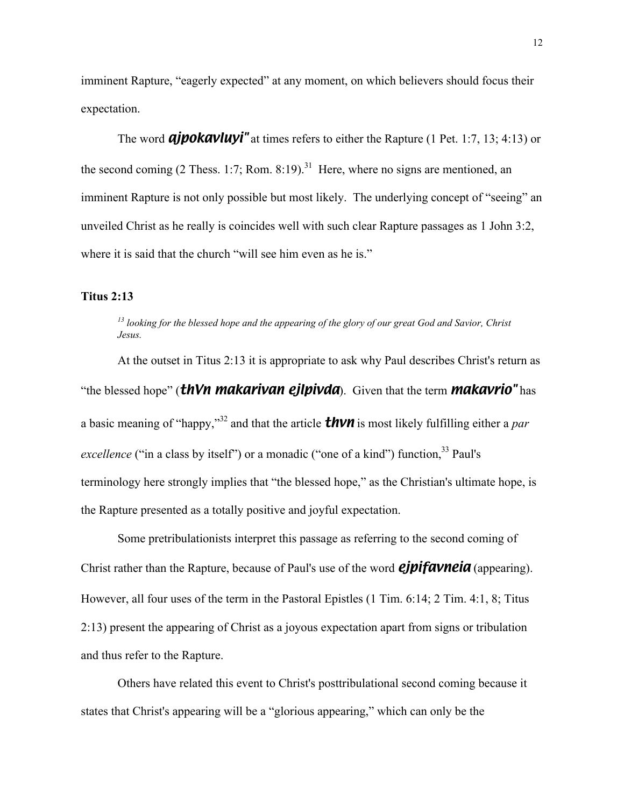imminent Rapture, "eagerly expected" at any moment, on which believers should focus their expectation.

The word *ajpokavluyi*" at times refers to either the Rapture (1 Pet. 1:7, 13; 4:13) or the second coming (2 Thess. 1:7; Rom. 8:19).<sup>31</sup> Here, where no signs are mentioned, an imminent Rapture is not only possible but most likely. The underlying concept of "seeing" an unveiled Christ as he really is coincides well with such clear Rapture passages as 1 John 3:2, where it is said that the church "will see him even as he is."

### **Titus 2:13**

*13 looking for the blessed hope and the appearing of the glory of our great God and Savior, Christ Jesus.*

At the outset in Titus 2:13 it is appropriate to ask why Paul describes Christ's return as "the blessed hope" (*thVn makarivan ejlpivda*). Given that the term *makavrio"* has a basic meaning of "happy,"<sup>32</sup> and that the article **thun** is most likely fulfilling either a *par excellence* ("in a class by itself") or a monadic ("one of a kind") function,<sup>33</sup> Paul's terminology here strongly implies that "the blessed hope," as the Christian's ultimate hope, is the Rapture presented as a totally positive and joyful expectation.

Some pretribulationists interpret this passage as referring to the second coming of Christ rather than the Rapture, because of Paul's use of the word *ejpifavneia* (appearing). However, all four uses of the term in the Pastoral Epistles (1 Tim. 6:14; 2 Tim. 4:1, 8; Titus 2:13) present the appearing of Christ as a joyous expectation apart from signs or tribulation and thus refer to the Rapture.

Others have related this event to Christ's posttribulational second coming because it states that Christ's appearing will be a "glorious appearing," which can only be the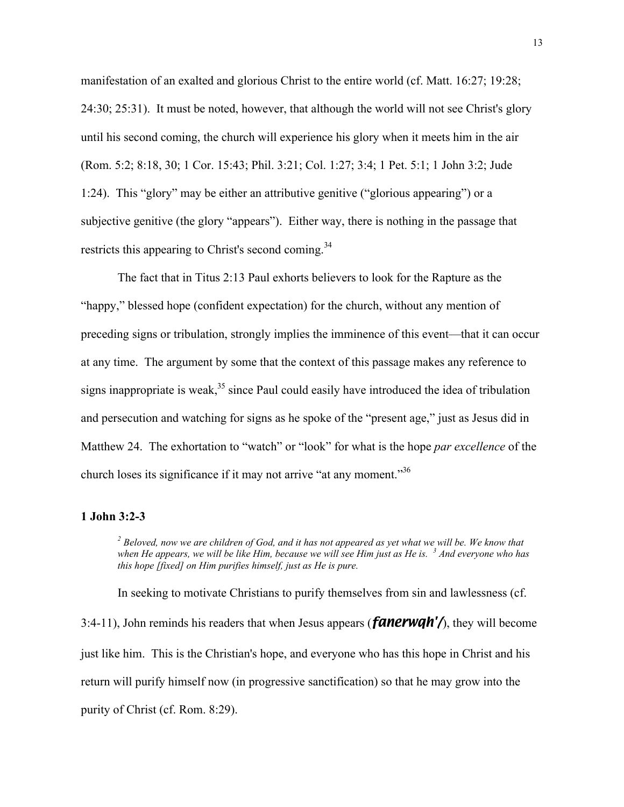manifestation of an exalted and glorious Christ to the entire world (cf. Matt. 16:27; 19:28; 24:30; 25:31). It must be noted, however, that although the world will not see Christ's glory until his second coming, the church will experience his glory when it meets him in the air (Rom. 5:2; 8:18, 30; 1 Cor. 15:43; Phil. 3:21; Col. 1:27; 3:4; 1 Pet. 5:1; 1 John 3:2; Jude 1:24). This "glory" may be either an attributive genitive ("glorious appearing") or a subjective genitive (the glory "appears"). Either way, there is nothing in the passage that restricts this appearing to Christ's second coming.<sup>34</sup>

The fact that in Titus 2:13 Paul exhorts believers to look for the Rapture as the "happy," blessed hope (confident expectation) for the church, without any mention of preceding signs or tribulation, strongly implies the imminence of this event—that it can occur at any time. The argument by some that the context of this passage makes any reference to signs inappropriate is weak,  $35$  since Paul could easily have introduced the idea of tribulation and persecution and watching for signs as he spoke of the "present age," just as Jesus did in Matthew 24. The exhortation to "watch" or "look" for what is the hope *par excellence* of the church loses its significance if it may not arrive "at any moment."36

### **1 John 3:2-3**

<sup>2</sup> Beloved, now we are children of God, and it has not appeared as yet what we will be. We know that *when He appears, we will be like Him, because we will see Him just as He is. <sup>3</sup> And everyone who has this hope [fixed] on Him purifies himself, just as He is pure.*

In seeking to motivate Christians to purify themselves from sin and lawlessness (cf. 3:4-11), John reminds his readers that when Jesus appears (*fanerwqh'/*), they will become just like him. This is the Christian's hope, and everyone who has this hope in Christ and his return will purify himself now (in progressive sanctification) so that he may grow into the purity of Christ (cf. Rom. 8:29).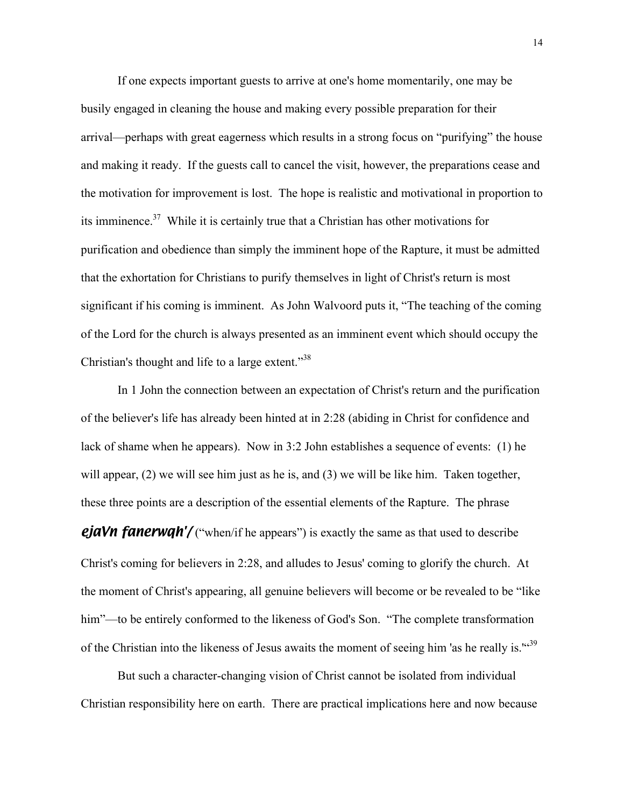If one expects important guests to arrive at one's home momentarily, one may be busily engaged in cleaning the house and making every possible preparation for their arrival—perhaps with great eagerness which results in a strong focus on "purifying" the house and making it ready. If the guests call to cancel the visit, however, the preparations cease and the motivation for improvement is lost. The hope is realistic and motivational in proportion to its imminence. $37$  While it is certainly true that a Christian has other motivations for purification and obedience than simply the imminent hope of the Rapture, it must be admitted that the exhortation for Christians to purify themselves in light of Christ's return is most significant if his coming is imminent. As John Walvoord puts it, "The teaching of the coming of the Lord for the church is always presented as an imminent event which should occupy the Christian's thought and life to a large extent."<sup>38</sup>

In 1 John the connection between an expectation of Christ's return and the purification of the believer's life has already been hinted at in 2:28 (abiding in Christ for confidence and lack of shame when he appears). Now in 3:2 John establishes a sequence of events: (1) he will appear, (2) we will see him just as he is, and (3) we will be like him. Taken together, these three points are a description of the essential elements of the Rapture. The phrase **ejaVn fanerwgh'/** ("when/if he appears") is exactly the same as that used to describe Christ's coming for believers in 2:28, and alludes to Jesus' coming to glorify the church. At the moment of Christ's appearing, all genuine believers will become or be revealed to be "like him"—to be entirely conformed to the likeness of God's Son. "The complete transformation of the Christian into the likeness of Jesus awaits the moment of seeing him 'as he really is."<sup>39</sup>

But such a character-changing vision of Christ cannot be isolated from individual Christian responsibility here on earth. There are practical implications here and now because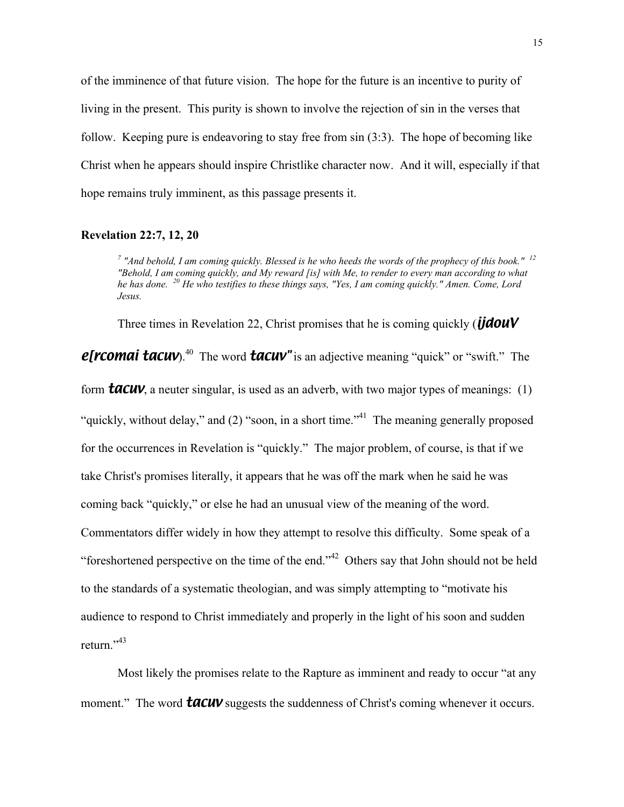of the imminence of that future vision. The hope for the future is an incentive to purity of living in the present. This purity is shown to involve the rejection of sin in the verses that follow. Keeping pure is endeavoring to stay free from sin (3:3). The hope of becoming like Christ when he appears should inspire Christlike character now. And it will, especially if that hope remains truly imminent, as this passage presents it.

## **Revelation 22:7, 12, 20**

*7 "And behold, I am coming quickly. Blessed is he who heeds the words of the prophecy of this book." <sup>12</sup> "Behold, I am coming quickly, and My reward [is] with Me, to render to every man according to what he has done. 20 He who testifies to these things says, "Yes, I am coming quickly." Amen. Come, Lord Jesus.*

Three times in Revelation 22, Christ promises that he is coming quickly (*ijdouV*

*e[rcomai tacuv*).<sup>40</sup> The word **tacuv**" is an adjective meaning "quick" or "swift." The

form *tacuv*, a neuter singular, is used as an adverb, with two major types of meanings: (1) "quickly, without delay," and (2) "soon, in a short time."<sup>41</sup> The meaning generally proposed for the occurrences in Revelation is "quickly." The major problem, of course, is that if we take Christ's promises literally, it appears that he was off the mark when he said he was coming back "quickly," or else he had an unusual view of the meaning of the word. Commentators differ widely in how they attempt to resolve this difficulty. Some speak of a "foreshortened perspective on the time of the end."<sup>42</sup> Others say that John should not be held to the standards of a systematic theologian, and was simply attempting to "motivate his audience to respond to Christ immediately and properly in the light of his soon and sudden return."<sup>43</sup>

Most likely the promises relate to the Rapture as imminent and ready to occur "at any moment." The word **tacuv** suggests the suddenness of Christ's coming whenever it occurs.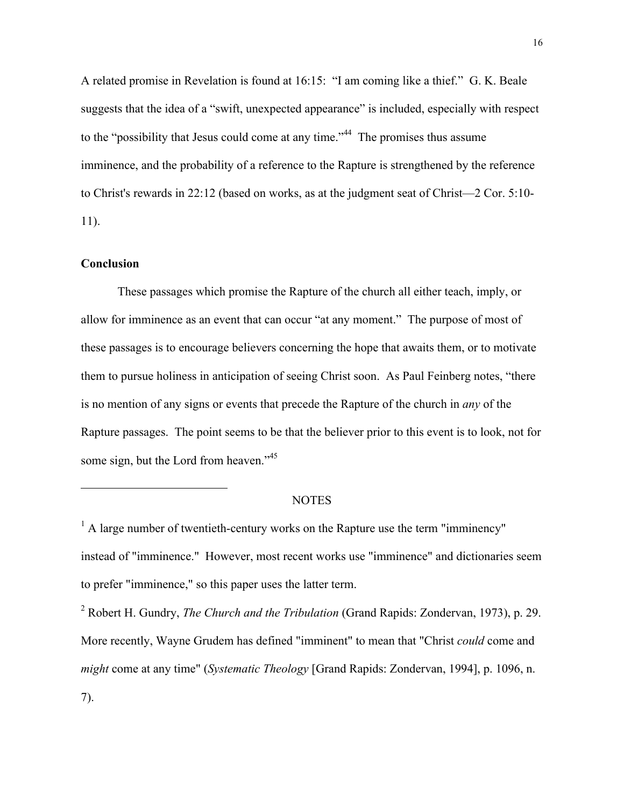A related promise in Revelation is found at 16:15: "I am coming like a thief." G. K. Beale suggests that the idea of a "swift, unexpected appearance" is included, especially with respect to the "possibility that Jesus could come at any time."<sup>44</sup> The promises thus assume imminence, and the probability of a reference to the Rapture is strengthened by the reference to Christ's rewards in 22:12 (based on works, as at the judgment seat of Christ—2 Cor. 5:10- 11).

## **Conclusion**

1

These passages which promise the Rapture of the church all either teach, imply, or allow for imminence as an event that can occur "at any moment." The purpose of most of these passages is to encourage believers concerning the hope that awaits them, or to motivate them to pursue holiness in anticipation of seeing Christ soon. As Paul Feinberg notes, "there is no mention of any signs or events that precede the Rapture of the church in *any* of the Rapture passages. The point seems to be that the believer prior to this event is to look, not for some sign, but the Lord from heaven."<sup>45</sup>

#### **NOTES**

<sup>1</sup> A large number of twentieth-century works on the Rapture use the term "imminency" instead of "imminence." However, most recent works use "imminence" and dictionaries seem to prefer "imminence," so this paper uses the latter term.

2 Robert H. Gundry, *The Church and the Tribulation* (Grand Rapids: Zondervan, 1973), p. 29. More recently, Wayne Grudem has defined "imminent" to mean that "Christ *could* come and *might* come at any time" (*Systematic Theology* [Grand Rapids: Zondervan, 1994], p. 1096, n. 7).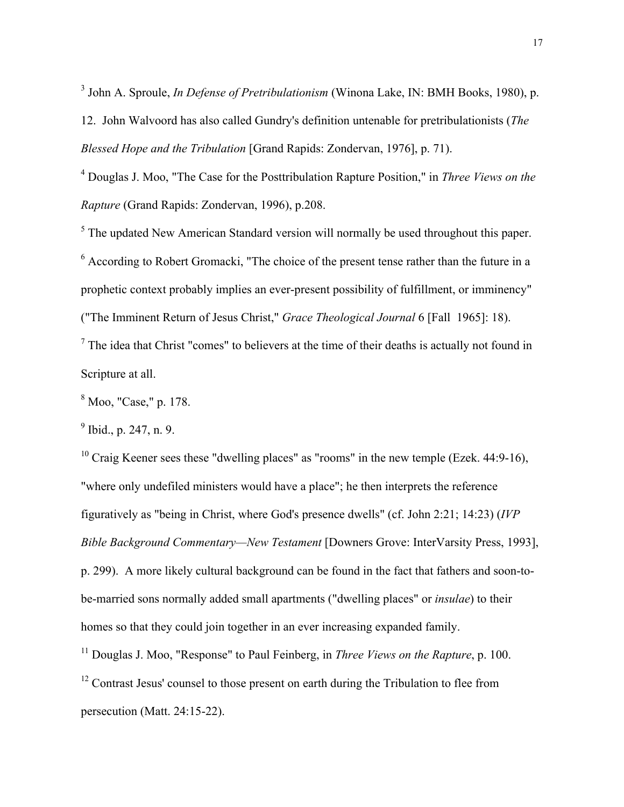3 John A. Sproule, *In Defense of Pretribulationism* (Winona Lake, IN: BMH Books, 1980), p.

12. John Walvoord has also called Gundry's definition untenable for pretribulationists (*The Blessed Hope and the Tribulation* [Grand Rapids: Zondervan, 1976], p. 71).

4 Douglas J. Moo, "The Case for the Posttribulation Rapture Position," in *Three Views on the Rapture* (Grand Rapids: Zondervan, 1996), p.208.

 $<sup>5</sup>$  The updated New American Standard version will normally be used throughout this paper.</sup>

<sup>6</sup> According to Robert Gromacki, "The choice of the present tense rather than the future in a prophetic context probably implies an ever-present possibility of fulfillment, or imminency" ("The Imminent Return of Jesus Christ," *Grace Theological Journal* 6 [Fall 1965]: 18).

 $<sup>7</sup>$  The idea that Christ "comes" to believers at the time of their deaths is actually not found in</sup> Scripture at all.

8 Moo, "Case," p. 178.

 $9^9$  Ibid., p. 247, n. 9.

 $10$  Craig Keener sees these "dwelling places" as "rooms" in the new temple (Ezek. 44:9-16), "where only undefiled ministers would have a place"; he then interprets the reference figuratively as "being in Christ, where God's presence dwells" (cf. John 2:21; 14:23) (*IVP Bible Background Commentary—New Testament* [Downers Grove: InterVarsity Press, 1993], p. 299). A more likely cultural background can be found in the fact that fathers and soon-tobe-married sons normally added small apartments ("dwelling places" or *insulae*) to their homes so that they could join together in an ever increasing expanded family.

<sup>11</sup> Douglas J. Moo, "Response" to Paul Feinberg, in *Three Views on the Rapture*, p. 100.

<sup>12</sup> Contrast Jesus' counsel to those present on earth during the Tribulation to flee from persecution (Matt. 24:15-22).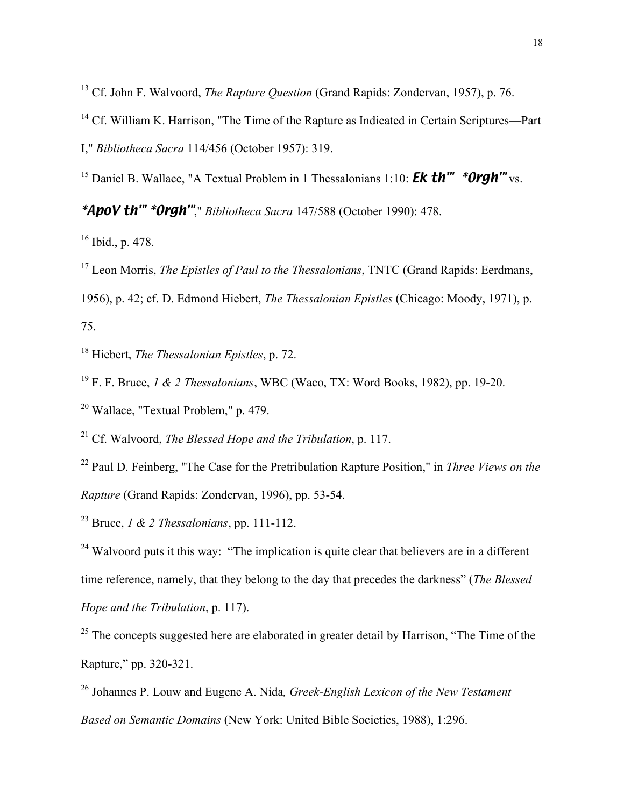<sup>13</sup> Cf. John F. Walvoord, *The Rapture Question* (Grand Rapids: Zondervan, 1957), p. 76.

<sup>14</sup> Cf. William K. Harrison, "The Time of the Rapture as Indicated in Certain Scriptures—Part I," *Bibliotheca Sacra* 114/456 (October 1957): 319.

<sup>15</sup> Daniel B. Wallace, "A Textual Problem in 1 Thessalonians 1:10: **Ek th'" \*Orgh'"** vs.

*\*ApoV th'" \*Orgh'"*," *Bibliotheca Sacra* 147/588 (October 1990): 478.

16 Ibid., p. 478.

<sup>17</sup> Leon Morris, *The Epistles of Paul to the Thessalonians*, TNTC (Grand Rapids: Eerdmans,

1956), p. 42; cf. D. Edmond Hiebert, *The Thessalonian Epistles* (Chicago: Moody, 1971), p. 75.

18 Hiebert, *The Thessalonian Epistles*, p. 72.

19 F. F. Bruce, *1 & 2 Thessalonians*, WBC (Waco, TX: Word Books, 1982), pp. 19-20.

<sup>20</sup> Wallace, "Textual Problem," p. 479.

21 Cf. Walvoord, *The Blessed Hope and the Tribulation*, p. 117.

22 Paul D. Feinberg, "The Case for the Pretribulation Rapture Position," in *Three Views on the Rapture* (Grand Rapids: Zondervan, 1996), pp. 53-54.

23 Bruce, *1 & 2 Thessalonians*, pp. 111-112.

 $24$  Walvoord puts it this way: "The implication is quite clear that believers are in a different time reference, namely, that they belong to the day that precedes the darkness" (*The Blessed Hope and the Tribulation*, p. 117).

 $25$  The concepts suggested here are elaborated in greater detail by Harrison, "The Time of the Rapture," pp. 320-321.

26 Johannes P. Louw and Eugene A. Nida*, Greek-English Lexicon of the New Testament Based on Semantic Domains* (New York: United Bible Societies, 1988), 1:296.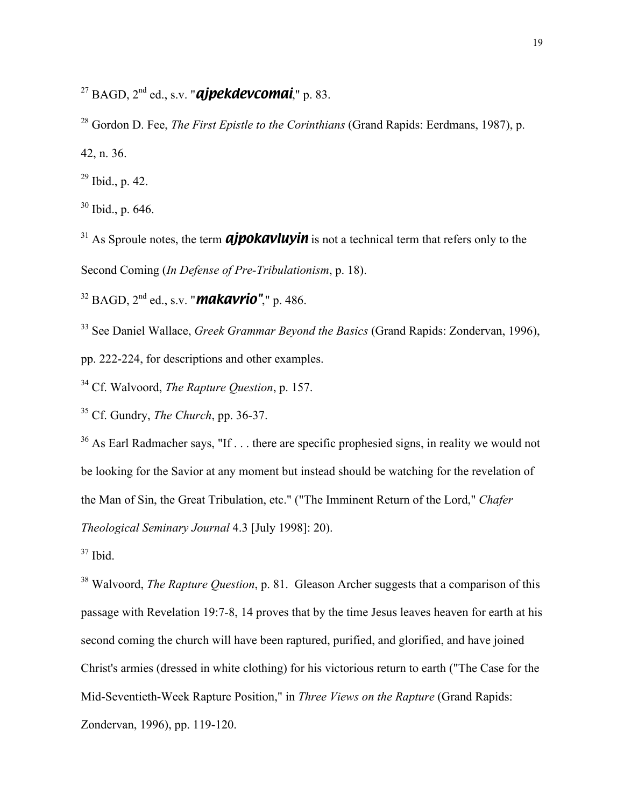27 BAGD, 2nd ed., s.v. "*ajpekdevcomai*," p. 83.

<sup>28</sup> Gordon D. Fee, *The First Epistle to the Corinthians* (Grand Rapids: Eerdmans, 1987), p. 42, n. 36.

 $^{29}$  Ibid., p. 42.

 $30$  Ibid., p. 646.

<sup>31</sup> As Sproule notes, the term *ajpokavluyin* is not a technical term that refers only to the Second Coming (*In Defense of Pre-Tribulationism*, p. 18).

32 BAGD, 2nd ed., s.v. "*makavrio"*," p. 486.

33 See Daniel Wallace, *Greek Grammar Beyond the Basics* (Grand Rapids: Zondervan, 1996), pp. 222-224, for descriptions and other examples.

34 Cf. Walvoord, *The Rapture Question*, p. 157.

35 Cf. Gundry, *The Church*, pp. 36-37.

 $36$  As Earl Radmacher says, "If . . . there are specific prophesied signs, in reality we would not be looking for the Savior at any moment but instead should be watching for the revelation of the Man of Sin, the Great Tribulation, etc." ("The Imminent Return of the Lord," *Chafer Theological Seminary Journal* 4.3 [July 1998]: 20).

37 Ibid.

<sup>38</sup> Walvoord, *The Rapture Question*, p. 81. Gleason Archer suggests that a comparison of this passage with Revelation 19:7-8, 14 proves that by the time Jesus leaves heaven for earth at his second coming the church will have been raptured, purified, and glorified, and have joined Christ's armies (dressed in white clothing) for his victorious return to earth ("The Case for the Mid-Seventieth-Week Rapture Position," in *Three Views on the Rapture* (Grand Rapids: Zondervan, 1996), pp. 119-120.